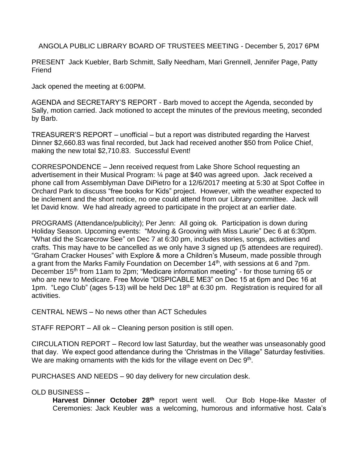ANGOLA PUBLIC LIBRARY BOARD OF TRUSTEES MEETING - December 5, 2017 6PM

PRESENT Jack Kuebler, Barb Schmitt, Sally Needham, Mari Grennell, Jennifer Page, Patty Friend

Jack opened the meeting at 6:00PM.

AGENDA and SECRETARY'S REPORT - Barb moved to accept the Agenda, seconded by Sally, motion carried. Jack motioned to accept the minutes of the previous meeting, seconded by Barb.

TREASURER'S REPORT – unofficial – but a report was distributed regarding the Harvest Dinner \$2,660.83 was final recorded, but Jack had received another \$50 from Police Chief, making the new total \$2,710.83. Successful Event!

CORRESPONDENCE – Jenn received request from Lake Shore School requesting an advertisement in their Musical Program: ¼ page at \$40 was agreed upon. Jack received a phone call from Assemblyman Dave DiPietro for a 12/6/2017 meeting at 5:30 at Spot Coffee in Orchard Park to discuss "free books for Kids" project. However, with the weather expected to be inclement and the short notice, no one could attend from our Library committee. Jack will let David know. We had already agreed to participate in the project at an earlier date.

PROGRAMS (Attendance/publicity); Per Jenn: All going ok. Participation is down during Holiday Season. Upcoming events: "Moving & Grooving with Miss Laurie" Dec 6 at 6:30pm. "What did the Scarecrow See" on Dec 7 at 6:30 pm, includes stories, songs, activities and crafts. This may have to be cancelled as we only have 3 signed up (5 attendees are required). "Graham Cracker Houses" with Explore & more a Children's Museum, made possible through a grant from the Marks Family Foundation on December 14<sup>th</sup>, with sessions at 6 and 7pm. December 15<sup>th</sup> from 11am to 2pm; "Medicare information meeting" - for those turning 65 or who are new to Medicare. Free Movie "DISPICABLE ME3" on Dec 15 at 6pm and Dec 16 at 1pm. "Lego Club" (ages 5-13) will be held Dec 18<sup>th</sup> at 6:30 pm. Registration is required for all activities.

CENTRAL NEWS – No news other than ACT Schedules

STAFF REPORT – All ok – Cleaning person position is still open.

CIRCULATION REPORT – Record low last Saturday, but the weather was unseasonably good that day. We expect good attendance during the 'Christmas in the Village" Saturday festivities. We are making ornaments with the kids for the village event on Dec 9<sup>th</sup>.

PURCHASES AND NEEDS – 90 day delivery for new circulation desk.

## OLD BUSINESS –

**Harvest Dinner October 28th** report went well. Our Bob Hope-like Master of Ceremonies: Jack Keubler was a welcoming, humorous and informative host. Cala's